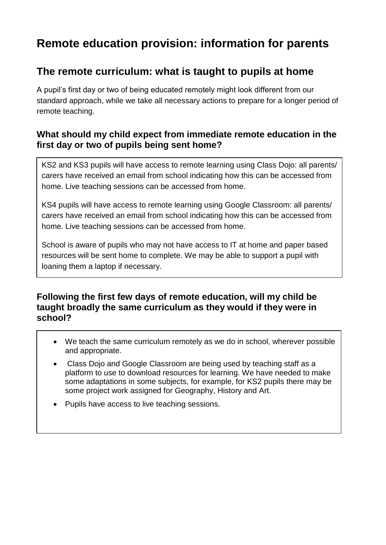# **Remote education provision: information for parents**

## **The remote curriculum: what is taught to pupils at home**

A pupil's first day or two of being educated remotely might look different from our standard approach, while we take all necessary actions to prepare for a longer period of remote teaching.

#### **What should my child expect from immediate remote education in the first day or two of pupils being sent home?**

KS2 and KS3 pupils will have access to remote learning using Class Dojo: all parents/ carers have received an email from school indicating how this can be accessed from home. Live teaching sessions can be accessed from home.

KS4 pupils will have access to remote learning using Google Classroom: all parents/ carers have received an email from school indicating how this can be accessed from home. Live teaching sessions can be accessed from home.

School is aware of pupils who may not have access to IT at home and paper based resources will be sent home to complete. We may be able to support a pupil with loaning them a laptop if necessary.

#### **Following the first few days of remote education, will my child be taught broadly the same curriculum as they would if they were in school?**

- We teach the same curriculum remotely as we do in school, wherever possible and appropriate.
- Class Dojo and Google Classroom are being used by teaching staff as a platform to use to download resources for learning. We have needed to make some adaptations in some subjects, for example, for KS2 pupils there may be some project work assigned for Geography, History and Art.
- Pupils have access to live teaching sessions.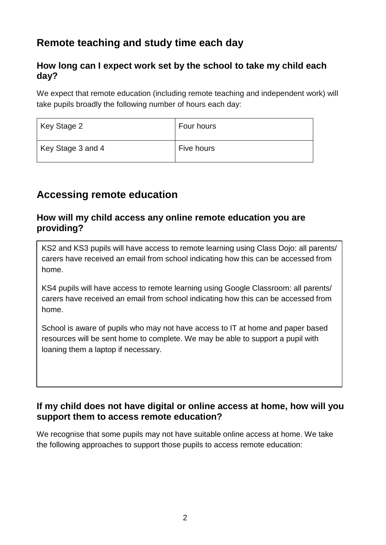# **Remote teaching and study time each day**

#### **How long can I expect work set by the school to take my child each day?**

We expect that remote education (including remote teaching and independent work) will take pupils broadly the following number of hours each day:

| Key Stage 2       | Four hours |
|-------------------|------------|
| Key Stage 3 and 4 | Five hours |

## **Accessing remote education**

#### **How will my child access any online remote education you are providing?**

KS2 and KS3 pupils will have access to remote learning using Class Dojo: all parents/ carers have received an email from school indicating how this can be accessed from home.

KS4 pupils will have access to remote learning using Google Classroom: all parents/ carers have received an email from school indicating how this can be accessed from home.

School is aware of pupils who may not have access to IT at home and paper based resources will be sent home to complete. We may be able to support a pupil with loaning them a laptop if necessary.

#### **If my child does not have digital or online access at home, how will you support them to access remote education?**

We recognise that some pupils may not have suitable online access at home. We take the following approaches to support those pupils to access remote education: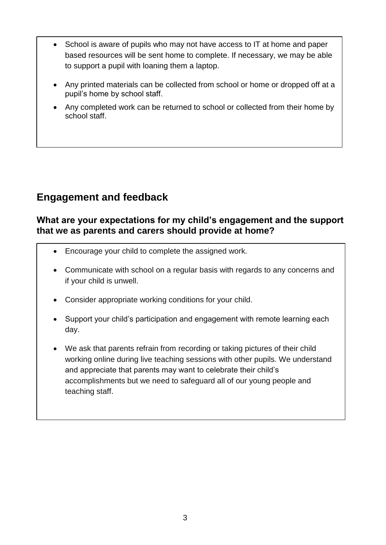- School is aware of pupils who may not have access to IT at home and paper based resources will be sent home to complete. If necessary, we may be able to support a pupil with loaning them a laptop.
- Any printed materials can be collected from school or home or dropped off at a pupil's home by school staff.
- Any completed work can be returned to school or collected from their home by school staff.

## **Engagement and feedback**

#### **What are your expectations for my child's engagement and the support that we as parents and carers should provide at home?**

- Encourage your child to complete the assigned work.
- Communicate with school on a regular basis with regards to any concerns and if your child is unwell.
- Consider appropriate working conditions for your child.
- Support your child's participation and engagement with remote learning each day.
- We ask that parents refrain from recording or taking pictures of their child working online during live teaching sessions with other pupils. We understand and appreciate that parents may want to celebrate their child's accomplishments but we need to safeguard all of our young people and teaching staff.